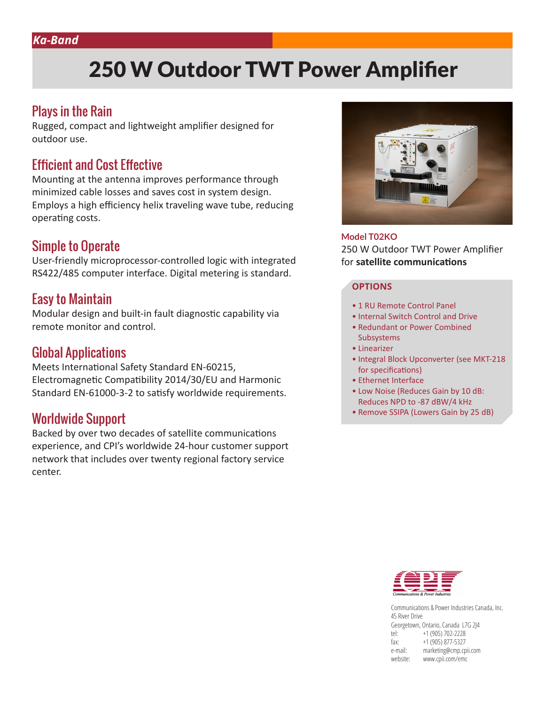# 250 W Outdoor TWT Power Amplifier

### Plays in the Rain

Rugged, compact and lightweight amplifier designed for outdoor use.

#### Efficient and Cost Effective

Mounting at the antenna improves performance through minimized cable losses and saves cost in system design. Employs a high efficiency helix traveling wave tube, reducing operating costs.

### Simple to Operate

User-friendly microprocessor-controlled logic with integrated RS422/485 computer interface. Digital metering is standard.

### Easy to Maintain

Modular design and built-in fault diagnostic capability via remote monitor and control.

#### Global Applications

Meets International Safety Standard EN-60215, Electromagnetic Compatibility 2014/30/EU and Harmonic Standard EN-61000-3-2 to satisfy worldwide requirements.

## Worldwide Support

Backed by over two decades of satellite communications experience, and CPI's worldwide 24-hour customer support network that includes over twenty regional factory service center.



**Model T02KO** 250 W Outdoor TWT Power Amplifier for **satellite communications**

#### **OPTIONS**

- 1 RU Remote Control Panel
- Internal Switch Control and Drive
- Redundant or Power Combined Subsystems
- Linearizer
- Integral Block Upconverter (see MKT-218 for specifications)
- Ethernet Interface
- Low Noise (Reduces Gain by 10 dB: Reduces NPD to -87 dBW/4 kHz
- Remove SSIPA (Lowers Gain by 25 dB)



Communications & Power Industries Canada, Inc. 45 River Drive Georgetown, Ontario, Canada L7G 2J4 tel: +1 (905) 702-2228 fax: +1 (905) 877-5327 e-mail: marketing@cmp.cpii.com website: www.cpii.com/emc